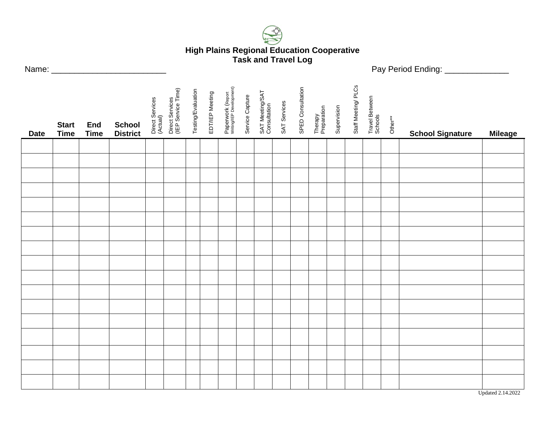

## **High Plains Regional Education Cooperative Task and Travel Log**

Name: \_\_\_\_\_\_\_\_\_\_\_\_\_\_\_\_\_\_\_\_\_\_\_\_\_ Pay Period Ending: \_\_\_\_\_\_\_\_\_\_\_\_\_\_

| <b>Date</b> | <b>Start</b><br><b>Time</b> | End<br><b>Time</b> | <b>School</b><br><b>District</b> | Direct Services<br>(Actual) | Direct Services<br>(IEP Service Time) | Testing/Evaluation | EDT/IEP Meeting | Paperwork (Report<br>Writing/IEP Development) | Service Capture | SAT Meeting/SAT<br>Consultation | SAT Services | SPED Consultation | Therapy<br>Preparation | Supervision | Staff Meeting/PLCs | Travel Between<br>Schools | Other** | <b>School Signature</b> | <b>Mileage</b> |
|-------------|-----------------------------|--------------------|----------------------------------|-----------------------------|---------------------------------------|--------------------|-----------------|-----------------------------------------------|-----------------|---------------------------------|--------------|-------------------|------------------------|-------------|--------------------|---------------------------|---------|-------------------------|----------------|
|             |                             |                    |                                  |                             |                                       |                    |                 |                                               |                 |                                 |              |                   |                        |             |                    |                           |         |                         |                |
|             |                             |                    |                                  |                             |                                       |                    |                 |                                               |                 |                                 |              |                   |                        |             |                    |                           |         |                         |                |
|             |                             |                    |                                  |                             |                                       |                    |                 |                                               |                 |                                 |              |                   |                        |             |                    |                           |         |                         |                |
|             |                             |                    |                                  |                             |                                       |                    |                 |                                               |                 |                                 |              |                   |                        |             |                    |                           |         |                         |                |
|             |                             |                    |                                  |                             |                                       |                    |                 |                                               |                 |                                 |              |                   |                        |             |                    |                           |         |                         |                |
|             |                             |                    |                                  |                             |                                       |                    |                 |                                               |                 |                                 |              |                   |                        |             |                    |                           |         |                         |                |
|             |                             |                    |                                  |                             |                                       |                    |                 |                                               |                 |                                 |              |                   |                        |             |                    |                           |         |                         |                |
|             |                             |                    |                                  |                             |                                       |                    |                 |                                               |                 |                                 |              |                   |                        |             |                    |                           |         |                         |                |
|             |                             |                    |                                  |                             |                                       |                    |                 |                                               |                 |                                 |              |                   |                        |             |                    |                           |         |                         |                |
|             |                             |                    |                                  |                             |                                       |                    |                 |                                               |                 |                                 |              |                   |                        |             |                    |                           |         |                         |                |
|             |                             |                    |                                  |                             |                                       |                    |                 |                                               |                 |                                 |              |                   |                        |             |                    |                           |         |                         |                |
|             |                             |                    |                                  |                             |                                       |                    |                 |                                               |                 |                                 |              |                   |                        |             |                    |                           |         |                         |                |
|             |                             |                    |                                  |                             |                                       |                    |                 |                                               |                 |                                 |              |                   |                        |             |                    |                           |         |                         |                |
|             |                             |                    |                                  |                             |                                       |                    |                 |                                               |                 |                                 |              |                   |                        |             |                    |                           |         |                         |                |
|             |                             |                    |                                  |                             |                                       |                    |                 |                                               |                 |                                 |              |                   |                        |             |                    |                           |         |                         |                |
|             |                             |                    |                                  |                             |                                       |                    |                 |                                               |                 |                                 |              |                   |                        |             |                    |                           |         |                         |                |
|             |                             |                    |                                  |                             |                                       |                    |                 |                                               |                 |                                 |              |                   |                        |             |                    |                           |         |                         |                |